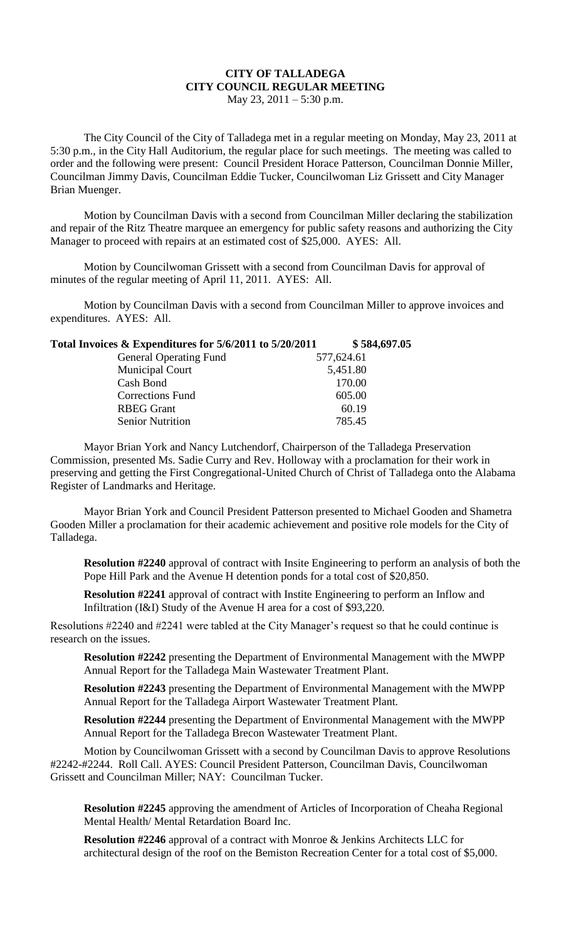## **CITY OF TALLADEGA CITY COUNCIL REGULAR MEETING**

May 23, 2011 – 5:30 p.m.

The City Council of the City of Talladega met in a regular meeting on Monday, May 23, 2011 at 5:30 p.m., in the City Hall Auditorium, the regular place for such meetings. The meeting was called to order and the following were present: Council President Horace Patterson, Councilman Donnie Miller, Councilman Jimmy Davis, Councilman Eddie Tucker, Councilwoman Liz Grissett and City Manager Brian Muenger.

Motion by Councilman Davis with a second from Councilman Miller declaring the stabilization and repair of the Ritz Theatre marquee an emergency for public safety reasons and authorizing the City Manager to proceed with repairs at an estimated cost of \$25,000. AYES: All.

Motion by Councilwoman Grissett with a second from Councilman Davis for approval of minutes of the regular meeting of April 11, 2011. AYES: All.

Motion by Councilman Davis with a second from Councilman Miller to approve invoices and expenditures. AYES: All.

| Total Invoices & Expenditures for 5/6/2011 to 5/20/2011 | \$584,697.05 |
|---------------------------------------------------------|--------------|
| <b>General Operating Fund</b>                           | 577,624.61   |
| <b>Municipal Court</b>                                  | 5,451.80     |
| Cash Bond                                               | 170.00       |
| <b>Corrections Fund</b>                                 | 605.00       |
| <b>RBEG Grant</b>                                       | 60.19        |
| <b>Senior Nutrition</b>                                 | 785.45       |
|                                                         |              |

Mayor Brian York and Nancy Lutchendorf, Chairperson of the Talladega Preservation Commission, presented Ms. Sadie Curry and Rev. Holloway with a proclamation for their work in preserving and getting the First Congregational-United Church of Christ of Talladega onto the Alabama Register of Landmarks and Heritage.

Mayor Brian York and Council President Patterson presented to Michael Gooden and Shametra Gooden Miller a proclamation for their academic achievement and positive role models for the City of Talladega.

**Resolution #2240** approval of contract with Insite Engineering to perform an analysis of both the Pope Hill Park and the Avenue H detention ponds for a total cost of \$20,850.

**Resolution #2241** approval of contract with Instite Engineering to perform an Inflow and Infiltration (I&I) Study of the Avenue H area for a cost of \$93,220.

Resolutions #2240 and #2241 were tabled at the City Manager's request so that he could continue is research on the issues.

**Resolution #2242** presenting the Department of Environmental Management with the MWPP Annual Report for the Talladega Main Wastewater Treatment Plant.

**Resolution #2243** presenting the Department of Environmental Management with the MWPP Annual Report for the Talladega Airport Wastewater Treatment Plant.

**Resolution #2244** presenting the Department of Environmental Management with the MWPP Annual Report for the Talladega Brecon Wastewater Treatment Plant.

Motion by Councilwoman Grissett with a second by Councilman Davis to approve Resolutions #2242-#2244. Roll Call. AYES: Council President Patterson, Councilman Davis, Councilwoman Grissett and Councilman Miller; NAY: Councilman Tucker.

**Resolution #2245** approving the amendment of Articles of Incorporation of Cheaha Regional Mental Health/ Mental Retardation Board Inc.

**Resolution #2246** approval of a contract with Monroe & Jenkins Architects LLC for architectural design of the roof on the Bemiston Recreation Center for a total cost of \$5,000.